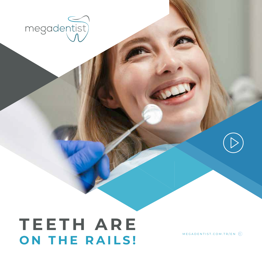

# **T E E T H A R E ON THE RAILS!**

MEGADENTIST.COM.TR/EN  $\textcircled{\scriptsize{A}}$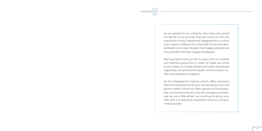

As we express to our patients who have just joined our family in our journey that we continue with the inspiration of your happiness: Megadentist is a clinic that makes a difference in the field of oral and dental health and never forgets that happy patients are only possible through happy employees.

We have been with you for 15 years with our Ankara and Istanbul polyclinics in order to make you smile to the fullest, to create preventive health awareness regarding oral and dental health, and to sustain health and aesthetics together.

As the Megadentist Family, which offers solutions that will leave behind all your worries about oral and dental health, which we often ignore or find expensive, and sometimes put into the background because we are a little afraid, we continue to be by your side with our specialist physicians without compromising quality.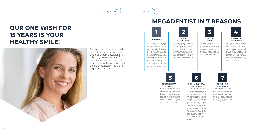Through our experience in the field of oral and dental health and our expert physician staff; it is our greatest source of happiness to let our patients that we serve to smile with selfconfidence, speak freely, and regain their health.

## **OUR ONE WISH FOR 15 YEARS IS YOUR HEALTHY SMILE!** We consider the happiness







ghly managed all processes for this purpose, and have not given up on the culture of continuous improvement for a moment. We wish to celebrate many 15 years with our thousands of patients who smile to the fullest and live towards a healthy tomorrow after their Megadentist expe-

rience...

endodontics to teeth whitening, from aesthetic dentistry to periodontology, we have brought healthy and aesthetic smiles to thousands of our patients.

For us, every patient is special, every patient is valuable. In determining the needs of our patients and the treatment methods for these needs, we carry out a multidimensional assessment, and we do not evade from this point of view even for a moment in order to obtain satisfactory results.

The reason why we are the only institution that provides a guarantee certificate to all the treatments it performs is the privilege of being managed by an expert staff who has achieved many successes in their respective fields.





It is our primary vision to contribute to our country's ranking in the first place among the world's preferred countries in the field of oral and dental health. We are working hard to develop an exemplary management approach so that patients who come to our country from abroad can complete their treatment safely and return to their countries with satisfaction from the service they receive. In addition to our quality and expert health services, we also provide airport transfer and translator privileges, providing full support to our patients visiting from abroad.



Our devices, which are designed and developed with state-of-the-art technology, enable us to use methods, which are simultaneous with the rest of the world, in the diagnosis and treatment of diseases. Using the latest technology in all the branches that we serve helps us to offer our patients the comfort and safety they deserve.



As Megadentist, we trust our service quality and our expert physicians, as well as we want you to have peace of mind while receiving service from our clinic. That's why we offer you a guarantee certificate for all the treatments you have at Megadentist.

#### **EXPERT STAFF**

#### **LOCAL AND GLOBAL HAPPINESS**

**PERSONALIZED SERVICE 5 6 7**

#### **POWERFUL TECHNOLOGY**

#### **TREATMENT GUARANTEE**

## **MEGADENTIST IN 7 REASONS**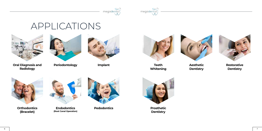



# APPLICATIONS



**Implant Contract Automobile Aesthetic Aesthetic Aesthetic Aesthetic Aesthetic Aesthetic Aesthetic Aesthetic A Dentistry**



**Orthodontics (Bracelet)**

## **Restorative Dentistry**



**Periodontology**





**Endodontics (Root Canal Operation)**



**Prosthetic Dentistry**







**Oral Diagnosis and Radiology**



**Teeth Whitening**



**Pedodontics**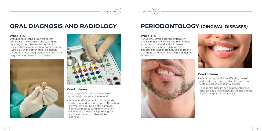



## **ORAL DIAGNOSIS AND RADIOLOGY**

## **What is it?**

Oral diagnosis is the department that undertakes the diagnosis and treatment planning of oral diseases and systemic diseases that show indications in the mouth. Radiology, on the other hand, is a science that uses various imaging technologies in the diagnosis and treatment of diseases.





## **Good to know**

• Oral diagnosis is divided into two main groups as intra-oral and extra-oral.

• Basic scientific studies in oral diagnosis can be grouped into four groups: Definition of symptoms, definition of syndromes, diagnostic methods and determination of laboratory-radiological-pathological applications/methods that will lead to diagnosis.

## **PERIODONTOLOGY (GINGIVAL DISEASES)**

#### **What is it?**

Periodontology is a branch of dentistry that examines the clinical and microscopic structure of the hard and soft tissues surrounding the teeth, diagnoses the diseases affecting these tissues, applies their treatments and maintains the health gained afterwards.





- 
- 



#### **Good to know**

• Inflammatory conditions affecting the soft and hard tissues surrounding the gums and teeth are called periodontal disease.

• Periodontal diseases can be prevented and controlled to a large extent by the treatments applied by specialist physicians.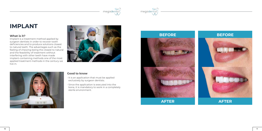



## **IMPLANT**

#### **What is it?**

Implant is a treatment method applied by surgeon dentists in order to recover tooth deficiencies and to produce solutions closest to natural teeth. The advantages such as the feeling of chewing being the closest to natural and the feasibility of treatment without interfering with other teeth have made implant-containing methods one of the most applied treatment methods in the century we live in.





#### **Good to know**

• It is an application that must be applied exclusively by surgeon dentists.

• Since the application is executed into the bone, it is mandatory to work in a completely sterile environment.





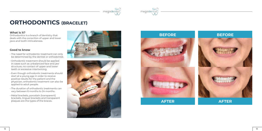



## **ORTHODONTICS (BRACELET)**

#### **What is it?**

Orthodontics is a branch of dentistry that deals with the correction of upper and lower jaws and tooth intricateness.

#### **Good to know**

- The need for orthodontic treatment can only be determined by the dentist or orthodontist.
- Orthodontic treatment should be applied in cases such as unbalanced face and jaw structure, no contact of upper and lower teeth or excessive intertwining.
- Even though orthodontic treatments should start at a young age in order to receive positive results for the patient and the physician, orthodontic treatment can also be applied to adult people.
- The duration of orthodontic treatments can vary between 6 months to 24 months.
- Metal brackets, porcelain (transparent) brackets, lingual brackets and transparent plaques are the types of the braces.









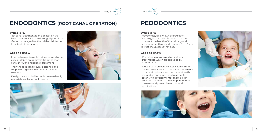

# megadent



## **ENDODONTICS (ROOT CANAL OPERATION)**

## **What is it?**

Root canal treatment is an application that allows the removal of the damaged part of the infected or decayed tooth and the disinfection of the tooth to be saved.

## **Good to know**

- Infected nerve tissue, blood vessels and other cellular debris are removed from the root canal through endodontic treatment.
- Then the root canal cavity is cleaned and shaped using canal files and disinfectant solutions.
- Finally, the tooth is filled with tissue-friendly materials in a leak-proof manner.





## **PEDODONTICS**

## **What is it?**

Pedodontics, also known as Pediatric Dentistry, is a branch of science that aims to protect the health of the primary and permanent teeth of children aged 0 to 12 and to treat the diseases that occur.

## **Good to know**

- Pedodontics covers pediatric dental treatments, which are excluded by orthodontics.
- It deals with preventive applications from caries, restorative and root canal treatments of caries in primary and permanent teeth, restorative and prosthetic treatments in teeth with developmental anomalies in children, methods to prevent periodontal diseases and preventive orthodontic applications.

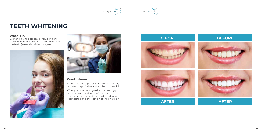



## **TEETH WHITENING**

## **What is it?**

Whitening is the process of removing the discoloration that occurs in the structure of the teeth (enamel and dentin layer).





## **Good to know**

• There are two types of whitening processes, domestic applicable and applied in the clinic.

• The type of whitening to be used strongly depends on the degree of discoloration, how quickly the treatment is desired to be completed and the opinion of the physician.









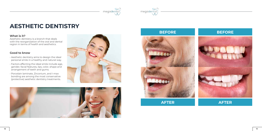



## **AESTHETIC DENTISTRY**

#### **What is it?**

Aesthetic dentistry is a branch that deals with the reorganization of the oral and dental region in terms of health and aesthetics.

#### **Good to know**

- Aesthetic dentistry aims to design the ideal personal smile in a healthy and natural way.
- Factors affecting the ideal smile include age, gender, facial features, lips, color, shape and arrangement of teeth and gums.
- Porcelain laminate, Zirconium, and I-max bonding are among the most conservative (protective) aesthetic dentistry treatments.











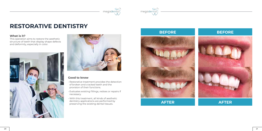



## **RESTORATIVE DENTISTRY**

#### **What is it?**

This operation aims to restore the aesthetic structure of teeth that display shape defects and deformity, especially in color.





## **Good to know**

- Restorative treatment provides the detection of broken and cracked teeth and the provision of their functions.
- Evaluates existing fillings, redoes or repairs if necessary.
- With this treatment, all kinds of aesthetic dentistry applications are performed by preserving the existing dental tissues.







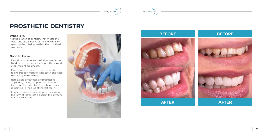



## **PROSTHETIC DENTISTRY**

#### **What is it?**

It is the branch of dentistry that meets the health and visual needs of the individual by replacing the missing teeth in the mouth with prosthesis.

#### **Good to know**

- Dental prostheses are basically classified as fixed prostheses, removable prostheses and over-implant prostheses.
- Fixed prostheses are prostheses applied by taking support from existing teeth and fixed by sticking to these teeth.
- Removable prostheses are prostheses applied by taking support from both the teeth and the gum, tooth and bone tissue remaining in the area of the lost tooth.
- Implant prostheses are titanium screws in the form of tooth root placed in the jawbone to replace lost teeth.









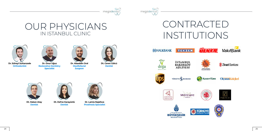



## OUR PHYSICIANS IN ISTANBUL CLINIC



**Dr. Süheyl Sultanzade Orthodontist**



**Dt. Hakan Atay Dentist**



**Dr. Onur Uğuz Restorative Dentistry Specialist**



**MHALKBANK** 





**İSTANBUL BAKIRKÖY<br>ADLIYESİ** 











Mercure HOTELS





**Dt. Defne Karayünlü Dentist**

**Dr. Lamia Najafova Prosthesis Specialist**



**Dr. Alaeddin Oral Maxillofacial Surgeon**



**Dt. Ceren Gölcü Dentist**

# CONTRACTED













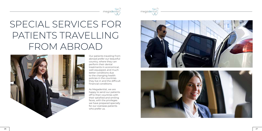



# SPECIAL SERVICES FOR PATIENTS TRAVELLING FROM ABROAD



Our patients traveling from abroad prefer our beautiful country, where they can perform their dental treatments in economical, well-equipped, and much better conditions due to the changing health policies in the countries they live in and the difficult financial conditions.

As Megadentist, we are happy to send our patients off to their countries with their satisfied and smiling faces, with the privileges we have prepared specially for our overseas patients who prefer us.



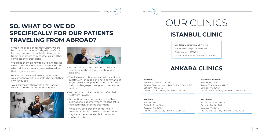

#### **Batıkent Batıkent - Kardelen Azartı Batıkent - Kardelen Batıkent - Kardelen Azartı Batıkent - Kardelen Azartı**

## **ANKARA CLINICS**

Beş Telsiz Quarter 75/2 St. No: 164 Across Mithatpaşa Tramway Stop Zeytinburnu / İSTANBUL Tel: +90 212 415 29 39 / Fax: +90 212 415 29 00

Kentkoop Quarter 235/3 St. Ilkumut 90 Apartments Anıt Business Center 1-E Batıkent / ANKARA Tel: +90 312 252 00 00 / Fax: +90 312 252 33 33

# **ISTANBUL CLINIC** OUR CLINICS

Atatürk Cad. Geziyolu St. No: 10/A Keçiören / ANKARA Tel: +90 312 517 30 63 / Fax: +90 312 517 30 61 Kardelen Quarter Arkent 91 Apartments No: 5 Batıkent / ANKARA Tel: +90 312 255 64 64 / Fax: +90 312 255 32 32

Muhsin Ertuğrul Quarter Belligün Ave. No: 14/A Çankaya / ANKARA Tel: +90 312 432 41 41 / Fax: +90 312 432 43 08

**Keçiören Küçükesat** 





# **SO, WHAT DO WE DO SPECIFICALLY FOR OUR PATIENTS TRAVELING FROM ABROAD?**

- Within the scope of health tourism, we are by our abroad patients' side, who prefer us for their oral and dental health treatments, from the moment they contact us until they complete their treatment.
- We guide them on how to buy plane tickets, which route would be more convenient, and which airline is the most reasonable airline that they can choose.
- As soon as they step into our country, we welcome them with our staff who speak their own language.
- We accompany them with a VIP transfer vehicle from the airport to their hotels.





- We ensure that they settle into the 5-star hotel they will be staying in without any problems.
- Thanks to our distinctive staff who speak our guests' own language and have command of English, we let our patients communicate in their own language throughout their entire treatment.
- We drop them off at the airport after their treatment is over.
- We continue our communication with our international patients, whom we send off to their countries, after the treatment.
- While providing oral and dental health treatments, we also provide a service where they can experience Istanbul, the world capital of culture.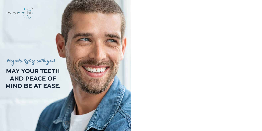# **MAY YOUR TEETH AND PEACE OF MIND BE AT EASE.**



# Megadentist is with you**!**